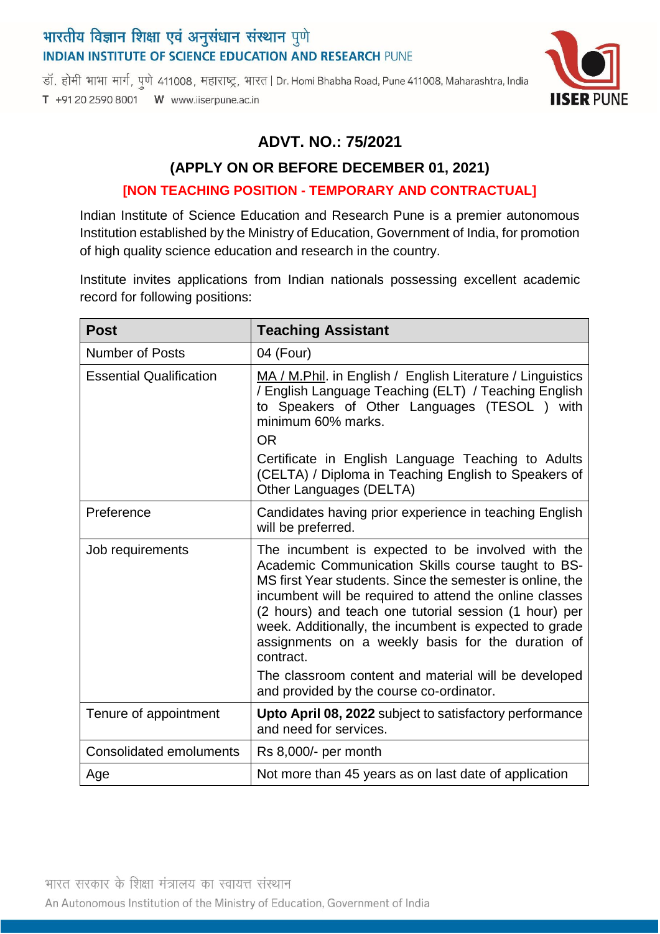# भारतीय विज्ञान शिक्षा एवं अनुसंधान संस्थान पुणे **INDIAN INSTITUTE OF SCIENCE EDUCATION AND RESEARCH PUNE**

डॉ. होमी भाभा मार्ग, पुणे 411008, महाराष्ट्र, भारत | Dr. Homi Bhabha Road, Pune 411008, Maharashtra, India T +91 20 2590 8001 W www.iiserpune.ac.in



### **ADVT. NO.: 75/2021**

# **(APPLY ON OR BEFORE DECEMBER 01, 2021) [NON TEACHING POSITION - TEMPORARY AND CONTRACTUAL]**

Indian Institute of Science Education and Research Pune is a premier autonomous Institution established by the Ministry of Education, Government of India, for promotion of high quality science education and research in the country.

Institute invites applications from Indian nationals possessing excellent academic record for following positions:

| <b>Post</b>                    | <b>Teaching Assistant</b>                                                                                                                                                                                                                                                                                                                                                                                                                                                                                                |
|--------------------------------|--------------------------------------------------------------------------------------------------------------------------------------------------------------------------------------------------------------------------------------------------------------------------------------------------------------------------------------------------------------------------------------------------------------------------------------------------------------------------------------------------------------------------|
| <b>Number of Posts</b>         | 04 (Four)                                                                                                                                                                                                                                                                                                                                                                                                                                                                                                                |
| <b>Essential Qualification</b> | MA / M.Phil. in English / English Literature / Linguistics<br>/ English Language Teaching (ELT) / Teaching English<br>to Speakers of Other Languages (TESOL ) with<br>minimum 60% marks.<br><b>OR</b>                                                                                                                                                                                                                                                                                                                    |
|                                | Certificate in English Language Teaching to Adults<br>(CELTA) / Diploma in Teaching English to Speakers of<br>Other Languages (DELTA)                                                                                                                                                                                                                                                                                                                                                                                    |
| Preference                     | Candidates having prior experience in teaching English<br>will be preferred.                                                                                                                                                                                                                                                                                                                                                                                                                                             |
| Job requirements               | The incumbent is expected to be involved with the<br>Academic Communication Skills course taught to BS-<br>MS first Year students. Since the semester is online, the<br>incumbent will be required to attend the online classes<br>(2 hours) and teach one tutorial session (1 hour) per<br>week. Additionally, the incumbent is expected to grade<br>assignments on a weekly basis for the duration of<br>contract.<br>The classroom content and material will be developed<br>and provided by the course co-ordinator. |
| Tenure of appointment          | Upto April 08, 2022 subject to satisfactory performance<br>and need for services.                                                                                                                                                                                                                                                                                                                                                                                                                                        |
| <b>Consolidated emoluments</b> | Rs 8,000/- per month                                                                                                                                                                                                                                                                                                                                                                                                                                                                                                     |
| Age                            | Not more than 45 years as on last date of application                                                                                                                                                                                                                                                                                                                                                                                                                                                                    |